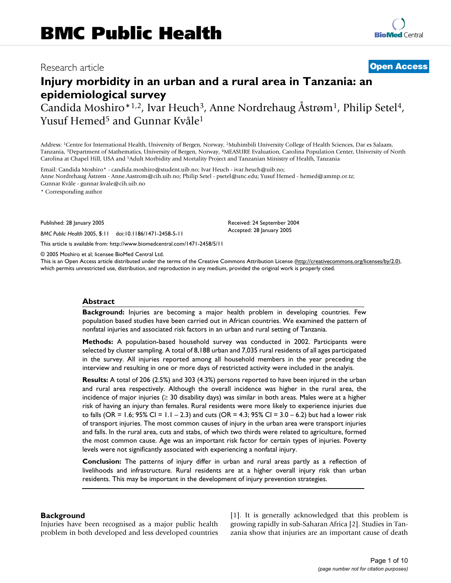# Research article **[Open Access](http://www.biomedcentral.com/info/about/charter/)**

# **Injury morbidity in an urban and a rural area in Tanzania: an epidemiological survey**

Candida Moshiro\*<sup>1,2</sup>, Ivar Heuch<sup>3</sup>, Anne Nordrehaug Åstrøm<sup>1</sup>, Philip Setel<sup>4</sup>, Yusuf Hemed<sup>5</sup> and Gunnar Kvåle<sup>1</sup>

Address: 1Centre for International Health, University of Bergen, Norway, 2Muhimbili University College of Health Sciences, Dar es Salaam, Tanzania, 3Department of Mathematics, University of Bergen, Norway, 4MEASURE Evaluation, Carolina Population Center, University of North Carolina at Chapel Hill, USA and 5Adult Morbidity and Mortality Project and Tanzanian Ministry of Health, Tanzania

Email: Candida Moshiro\* - candida.moshiro@student.uib.no; Ivar Heuch - ivar.heuch@uib.no; Anne Nordrehaug Åstrøm - Anne.Aastrom@cih.uib.no; Philip Setel - psetel@unc.edu; Yusuf Hemed - hemed@ammp.or.tz; Gunnar Kvåle - gunnar.kvale@cih.uib.no

\* Corresponding author

Published: 28 January 2005

*BMC Public Health* 2005, **5**:11 doi:10.1186/1471-2458-5-11

[This article is available from: http://www.biomedcentral.com/1471-2458/5/11](http://www.biomedcentral.com/1471-2458/5/11)

© 2005 Moshiro et al; licensee BioMed Central Ltd.

This is an Open Access article distributed under the terms of the Creative Commons Attribution License [\(http://creativecommons.org/licenses/by/2.0\)](http://creativecommons.org/licenses/by/2.0), which permits unrestricted use, distribution, and reproduction in any medium, provided the original work is properly cited.

Received: 24 September 2004 Accepted: 28 January 2005

#### **Abstract**

**Background:** Injuries are becoming a major health problem in developing countries. Few population based studies have been carried out in African countries. We examined the pattern of nonfatal injuries and associated risk factors in an urban and rural setting of Tanzania.

**Methods:** A population-based household survey was conducted in 2002. Participants were selected by cluster sampling. A total of 8,188 urban and 7,035 rural residents of all ages participated in the survey. All injuries reported among all household members in the year preceding the interview and resulting in one or more days of restricted activity were included in the analyis.

**Results:** A total of 206 (2.5%) and 303 (4.3%) persons reported to have been injured in the urban and rural area respectively. Although the overall incidence was higher in the rural area, the incidence of major injuries ( $\geq 30$  disability days) was similar in both areas. Males were at a higher risk of having an injury than females. Rural residents were more likely to experience injuries due to falls (OR = 1.6; 95% Cl = 1.1 – 2.3) and cuts (OR = 4.3; 95% Cl = 3.0 – 6.2) but had a lower risk of transport injuries. The most common causes of injury in the urban area were transport injuries and falls. In the rural area, cuts and stabs, of which two thirds were related to agriculture, formed the most common cause. Age was an important risk factor for certain types of injuries. Poverty levels were not significantly associated with experiencing a nonfatal injury.

**Conclusion:** The patterns of injury differ in urban and rural areas partly as a reflection of livelihoods and infrastructure. Rural residents are at a higher overall injury risk than urban residents. This may be important in the development of injury prevention strategies.

#### **Background**

Injuries have been recognised as a major public health problem in both developed and less developed countries [1]. It is generally acknowledged that this problem is growing rapidly in sub-Saharan Africa [2]. Studies in Tanzania show that injuries are an important cause of death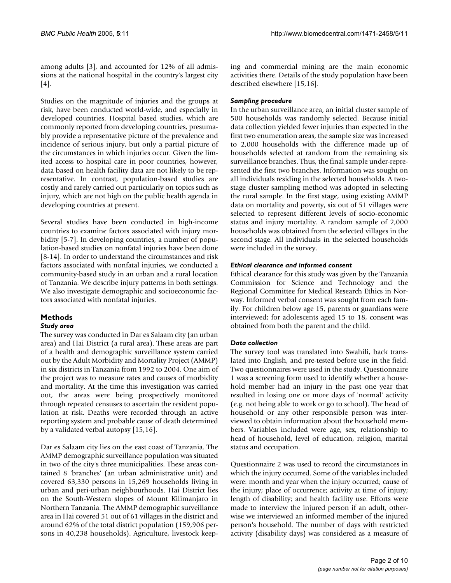among adults [3], and accounted for 12% of all admissions at the national hospital in the country's largest city [4].

Studies on the magnitude of injuries and the groups at risk, have been conducted world-wide, and especially in developed countries. Hospital based studies, which are commonly reported from developing countries, presumably provide a representative picture of the prevalence and incidence of serious injury, but only a partial picture of the circumstances in which injuries occur. Given the limited access to hospital care in poor countries, however, data based on health facility data are not likely to be representative. In contrast, population-based studies are costly and rarely carried out particularly on topics such as injury, which are not high on the public health agenda in developing countries at present.

Several studies have been conducted in high-income countries to examine factors associated with injury morbidity [5-7]. In developing countries, a number of population-based studies on nonfatal injuries have been done [8-14]. In order to understand the circumstances and risk factors associated with nonfatal injuries, we conducted a community-based study in an urban and a rural location of Tanzania. We describe injury patterns in both settings. We also investigate demographic and socioeconomic factors associated with nonfatal injuries.

#### **Methods** *Study area*

#### The survey was conducted in Dar es Salaam city (an urban area) and Hai District (a rural area). These areas are part of a health and demographic surveillance system carried out by the Adult Morbidity and Mortality Project (AMMP) in six districts in Tanzania from 1992 to 2004. One aim of the project was to measure rates and causes of morbidity and mortality. At the time this investigation was carried out, the areas were being prospectively monitored through repeated censuses to ascertain the resident population at risk. Deaths were recorded through an active reporting system and probable cause of death determined by a validated verbal autopsy [15,16].

Dar es Salaam city lies on the east coast of Tanzania. The AMMP demographic surveillance population was situated in two of the city's three municipalities. These areas contained 8 'branches' (an urban administrative unit) and covered 63,330 persons in 15,269 households living in urban and peri-urban neighbourhoods. Hai District lies on the South-Western slopes of Mount Kilimanjaro in Northern Tanzania. The AMMP demographic surveillance area in Hai covered 51 out of 61 villages in the district and around 62% of the total district population (159,906 persons in 40,238 households). Agriculture, livestock keeping and commercial mining are the main economic activities there. Details of the study population have been described elsewhere [15,16].

### *Sampling procedure*

In the urban surveillance area, an initial cluster sample of 500 households was randomly selected. Because initial data collection yielded fewer injuries than expected in the first two enumeration areas, the sample size was increased to 2,000 households with the difference made up of households selected at random from the remaining six surveillance branches. Thus, the final sample under-represented the first two branches. Information was sought on all individuals residing in the selected households. A twostage cluster sampling method was adopted in selecting the rural sample. In the first stage, using existing AMMP data on mortality and poverty, six out of 51 villages were selected to represent different levels of socio-economic status and injury mortality. A random sample of 2,000 households was obtained from the selected villages in the second stage. All individuals in the selected households were included in the survey.

#### *Ethical clearance and informed consent*

Ethical clearance for this study was given by the Tanzania Commission for Science and Technology and the Regional Committee for Medical Research Ethics in Norway. Informed verbal consent was sought from each family. For children below age 15, parents or guardians were interviewed; for adolescents aged 15 to 18, consent was obtained from both the parent and the child.

# *Data collection*

The survey tool was translated into Swahili, back translated into English, and pre-tested before use in the field. Two questionnaires were used in the study. Questionnaire 1 was a screening form used to identify whether a household member had an injury in the past one year that resulted in losing one or more days of 'normal' activity (e.g. not being able to work or go to school). The head of household or any other responsible person was interviewed to obtain information about the household members. Variables included were age, sex, relationship to head of household, level of education, religion, marital status and occupation.

Questionnaire 2 was used to record the circumstances in which the injury occurred. Some of the variables included were: month and year when the injury occurred; cause of the injury; place of occurrence; activity at time of injury; length of disability; and health facility use. Efforts were made to interview the injured person if an adult, otherwise we interviewed an informed member of the injured person's household. The number of days with restricted activity (disability days) was considered as a measure of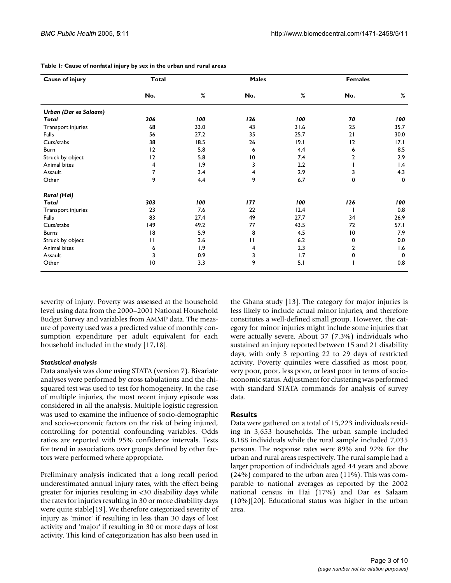| Cause of injury       | <b>Total</b> |      | <b>Males</b>   |      | <b>Females</b> |             |
|-----------------------|--------------|------|----------------|------|----------------|-------------|
|                       | No.          | %    | No.            | %    | No.            | %           |
| Urban (Dar es Salaam) |              |      |                |      |                |             |
| Total                 | 206          | 100  | 136            | 100  | 70             | 100         |
| Transport injuries    | 68           | 33.0 | 43             | 31.6 | 25             | 35.7        |
| Falls                 | 56           | 27.2 | 35             | 25.7 | 21             | 30.0        |
| Cuts/stabs            | 38           | 18.5 | 26             | 9.1  | 12             | 17.1        |
| Burn                  | 12           | 5.8  | 6              | 4.4  | 6              | 8.5         |
| Struck by object      | 12           | 5.8  | $\overline{0}$ | 7.4  | 2              | 2.9         |
| Animal bites          | 4            | 1.9  | 3              | 2.2  |                | 1.4         |
| Assault               | 7            | 3.4  | 4              | 2.9  | 3              | 4.3         |
| Other                 | 9            | 4.4  | 9              | 6.7  | 0              | $\mathbf 0$ |
| <b>Rural (Hai)</b>    |              |      |                |      |                |             |
| Total                 | 303          | 100  | 177            | 100  | 126            | 100         |
| Transport injuries    | 23           | 7.6  | 22             | 12.4 |                | 0.8         |
| Falls                 | 83           | 27.4 | 49             | 27.7 | 34             | 26.9        |
| Cuts/stabs            | 149          | 49.2 | 77             | 43.5 | 72             | 57.I        |
| <b>Burns</b>          | 8            | 5.9  | 8              | 4.5  | $\overline{0}$ | 7.9         |
| Struck by object      | П            | 3.6  | П              | 6.2  | 0              | 0.0         |
| Animal bites          | 6            | 1.9  | 4              | 2.3  | 2              | 1.6         |
| Assault               | 3            | 0.9  | 3              | 1.7  | 0              | $\Omega$    |
| Other                 | 10           | 3.3  | 9              | 5.1  |                | 0.8         |

**Table 1: Cause of nonfatal injury by sex in the urban and rural areas**

severity of injury. Poverty was assessed at the household level using data from the 2000–2001 National Household Budget Survey and variables from AMMP data. The measure of poverty used was a predicted value of monthly consumption expenditure per adult equivalent for each household included in the study [17,18].

#### *Statistical analysis*

Data analysis was done using STATA (version 7). Bivariate analyses were performed by cross tabulations and the chisquared test was used to test for homogeneity. In the case of multiple injuries, the most recent injury episode was considered in all the analysis. Multiple logistic regression was used to examine the influence of socio-demographic and socio-economic factors on the risk of being injured, controlling for potential confounding variables. Odds ratios are reported with 95% confidence intervals. Tests for trend in associations over groups defined by other factors were performed where appropriate.

Preliminary analysis indicated that a long recall period underestimated annual injury rates, with the effect being greater for injuries resulting in <30 disability days while the rates for injuries resulting in 30 or more disability days were quite stable[19]. We therefore categorized severity of injury as 'minor' if resulting in less than 30 days of lost activity and 'major' if resulting in 30 or more days of lost activity. This kind of categorization has also been used in the Ghana study [13]. The category for major injuries is less likely to include actual minor injuries, and therefore constitutes a well-defined small group. However, the category for minor injuries might include some injuries that were actually severe. About 37 (7.3%) individuals who sustained an injury reported between 15 and 21 disability days, with only 3 reporting 22 to 29 days of restricted activity. Poverty quintiles were classified as most poor, very poor, poor, less poor, or least poor in terms of socioeconomic status. Adjustment for clustering was performed with standard STATA commands for analysis of survey data.

#### **Results**

Data were gathered on a total of 15,223 individuals residing in 3,653 households. The urban sample included 8,188 individuals while the rural sample included 7,035 persons. The response rates were 89% and 92% for the urban and rural areas respectively. The rural sample had a larger proportion of individuals aged 44 years and above (24%) compared to the urban area (11%). This was comparable to national averages as reported by the 2002 national census in Hai (17%) and Dar es Salaam (10%)[20]. Educational status was higher in the urban area.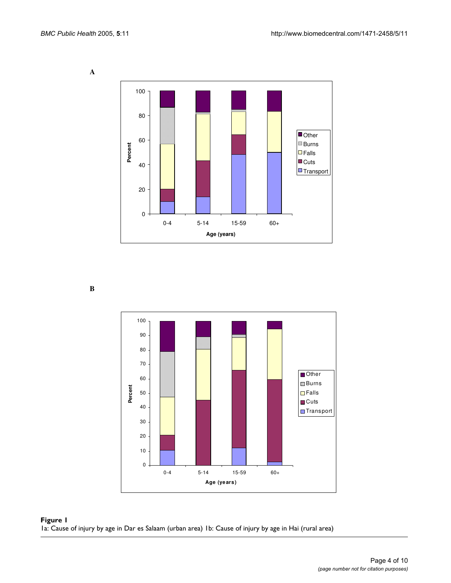**A** 



**B** 



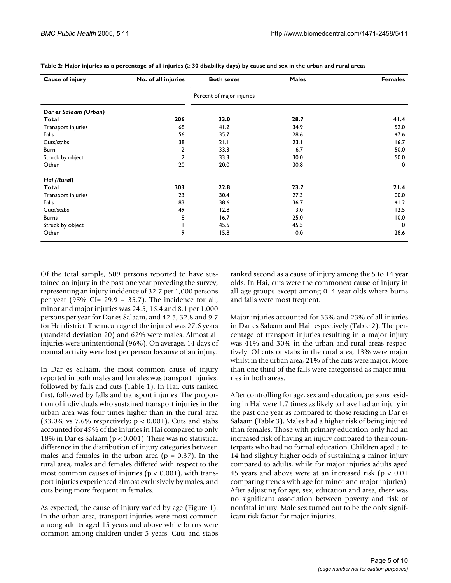| Cause of injury       | No. of all injuries | <b>Both sexes</b>         | <b>Males</b> | <b>Females</b>              |
|-----------------------|---------------------|---------------------------|--------------|-----------------------------|
|                       |                     | Percent of major injuries |              |                             |
| Dar es Salaam (Urban) |                     |                           |              |                             |
| Total                 | 206                 | 33.0                      | 28.7         | 41.4                        |
| Transport injuries    | 68                  | 41.2                      | 34.9         | 52.0                        |
| Falls                 | 56                  | 35.7                      | 28.6         | 47.6                        |
| Cuts/stabs            | 38                  | 21.1                      | 23.1         | 16.7                        |
| Burn                  | 12<br>12<br>20      | 33.3<br>33.3              | 16.7<br>30.0 | 50.0<br>50.0<br>$\mathbf 0$ |
| Struck by object      |                     |                           |              |                             |
| Other                 |                     | 20.0                      | 30.8         |                             |
| Hai (Rural)           |                     |                           |              |                             |
| Total                 | 303                 | 22.8                      | 23.7         | 21.4                        |
| Transport injuries    | 23                  | 30.4                      | 27.3         | 100.0                       |
| Falls                 | 83                  | 38.6                      | 36.7         | 41.2                        |
| Cuts/stabs            | 149                 | 12.8                      | 13.0         | 12.5                        |
| <b>Burns</b>          | 18                  | 16.7                      | 25.0         | 10.0                        |
| Struck by object      | П                   | 45.5                      | 45.5         | $\mathbf 0$                 |
| Other                 | 9                   | 15.8                      | 10.0         | 28.6                        |

<span id="page-4-0"></span>**Table 2: Major injuries as a percentage of all injuries (**≥ **30 disability days) by cause and sex in the urban and rural areas**

Of the total sample, 509 persons reported to have sustained an injury in the past one year preceding the survey, representing an injury incidence of 32.7 per 1,000 persons per year (95% CI= 29.9 – 35.7). The incidence for all, minor and major injuries was 24.5, 16.4 and 8.1 per 1,000 persons per year for Dar es Salaam, and 42.5, 32.8 and 9.7 for Hai district. The mean age of the injured was 27.6 years (standard deviation 20) and 62% were males. Almost all injuries were unintentional (96%). On average, 14 days of normal activity were lost per person because of an injury.

In Dar es Salaam, the most common cause of injury reported in both males and females was transport injuries, followed by falls and cuts (Table 1). In Hai, cuts ranked first, followed by falls and transport injuries. The proportion of individuals who sustained transport injuries in the urban area was four times higher than in the rural area (33.0% vs 7.6% respectively;  $p < 0.001$ ). Cuts and stabs accounted for 49% of the injuries in Hai compared to only 18% in Dar es Salaam (p < 0.001). There was no statistical difference in the distribution of injury categories between males and females in the urban area ( $p = 0.37$ ). In the rural area, males and females differed with respect to the most common causes of injuries ( $p < 0.001$ ), with transport injuries experienced almost exclusively by males, and cuts being more frequent in females.

As expected, the cause of injury varied by age (Figure 1). In the urban area, transport injuries were most common among adults aged 15 years and above while burns were common among children under 5 years. Cuts and stabs ranked second as a cause of injury among the 5 to 14 year olds. In Hai, cuts were the commonest cause of injury in all age groups except among 0–4 year olds where burns and falls were most frequent.

Major injuries accounted for 33% and 23% of all injuries in Dar es Salaam and Hai respectively (Table [2](#page-4-0)). The percentage of transport injuries resulting in a major injury was 41% and 30% in the urban and rural areas respectively. Of cuts or stabs in the rural area, 13% were major whilst in the urban area, 21% of the cuts were major. More than one third of the falls were categorised as major injuries in both areas.

After controlling for age, sex and education, persons residing in Hai were 1.7 times as likely to have had an injury in the past one year as compared to those residing in Dar es Salaam (Table [3](#page-5-0)). Males had a higher risk of being injured than females. Those with primary education only had an increased risk of having an injury compared to their counterparts who had no formal education. Children aged 5 to 14 had slightly higher odds of sustaining a minor injury compared to adults, while for major injuries adults aged 45 years and above were at an increased risk ( $p < 0.01$ ) comparing trends with age for minor and major injuries). After adjusting for age, sex, education and area, there was no significant association between poverty and risk of nonfatal injury. Male sex turned out to be the only significant risk factor for major injuries.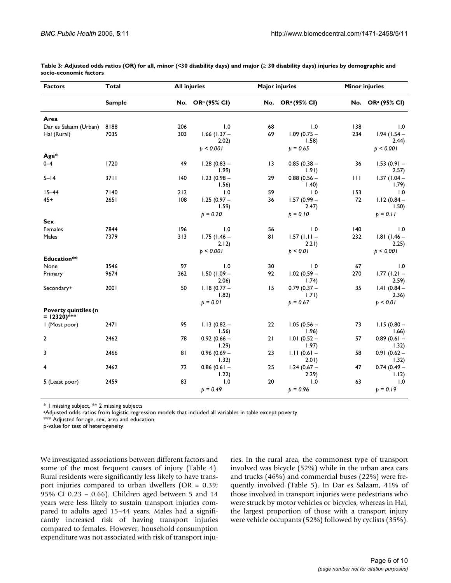| <b>Factors</b>                         | Total         |     | <b>All injuries</b>          |                 | <b>Major injuries</b>        |              | <b>Minor injuries</b>        |  |
|----------------------------------------|---------------|-----|------------------------------|-----------------|------------------------------|--------------|------------------------------|--|
|                                        | <b>Sample</b> |     | No. OR <sup>a</sup> (95% CI) |                 | No. OR <sup>a</sup> (95% CI) |              | No. OR <sup>a</sup> (95% CI) |  |
| Area                                   |               |     |                              |                 |                              |              |                              |  |
| Dar es Salaam (Urban)                  | 8188          | 206 | 1.0                          | 68              | 1.0                          | 138          | 1.0                          |  |
| Hai (Rural)                            | 7035          | 303 | $1.66$ (1.37 –<br>2.02)      | 69              | $1.09(0.75 -$<br>1.58)       | 234          | $1.94(1.54 -$<br>2.44)       |  |
|                                        |               |     | p < 0.001                    |                 | $p = 0.65$                   |              | p < 0.001                    |  |
| Age*                                   |               |     |                              |                 |                              |              |                              |  |
| $0 - 4$                                | 1720          | 49  | $1.28(0.83 -$<br>1.99)       | $\overline{13}$ | $0.85(0.38 -$<br>1.91)       | 36           | $1.53(0.91 -$<br>2.57)       |  |
| $5 - 14$                               | 3711          | 140 | $1.23(0.98 -$<br>1.56)       | 29              | $0.88(0.56 -$<br>1.40)       | $\mathbf{H}$ | $1.37(1.04 -$<br>1.79)       |  |
| $15 - 44$                              | 7140          | 212 | 1.0                          | 59              | 1.0                          | 153          | 1.0                          |  |
| 45+                                    | 2651          | 108 | $1.25(0.97 -$<br>1.59)       | 36              | $1.57(0.99 -$<br>2.47)       | 72           | $1.12(0.84 -$<br>1.50)       |  |
|                                        |               |     | $p = 0.20$                   |                 | $b = 0.10$                   |              | $p = 0.11$                   |  |
| Sex                                    |               |     |                              |                 |                              |              |                              |  |
| Females                                | 7844          | 196 | 1.0                          | 56              | 1.0                          | 140          | 1.0                          |  |
| Males                                  | 7379          | 313 | $1.75$ (1.46 –<br>2.12)      | 81              | $1.57$ (1.11 –<br>2.21)      | 232          | $1.81(1.46 -$<br>2.25)       |  |
|                                        |               |     | p < 0.001                    |                 | b < 0.01                     |              | p < 0.001                    |  |
| <b>Education**</b>                     |               |     |                              |                 |                              |              |                              |  |
| None                                   | 3546          | 97  | 1.0                          | 30              | 1.0                          | 67           | 1.0                          |  |
| Primary                                | 9674          | 362 | $1.50(1.09 -$<br>2.06)       | 92              | $1.02(0.59 -$<br>1.74)       | 270          | $1.77(1.21 -$<br>2.59)       |  |
| Secondary+                             | 2001          | 50  | $1.18(0.77 -$<br>1.82)       | 15              | $0.79(0.37 -$<br>1.71)       | 35           | $1.41(0.84 -$<br>2.36)       |  |
|                                        |               |     | $p = 0.01$                   |                 | $p = 0.67$                   |              | p < 0.01                     |  |
| Poverty quintiles (n<br>$= 12320$ )*** |               |     |                              |                 |                              |              |                              |  |
| I (Most poor)                          | 2471          | 95  | $1.13(0.82 -$<br>1.56)       | 22              | $1.05(0.56 -$<br>1.96)       | 73           | $1.15(0.80 -$<br>1.66)       |  |
| 2                                      | 2462          | 78  | $0.92(0.66 -$<br>1.29)       | 21              | $1.01(0.52 -$<br>1.97)       | 57           | $0.89(0.61 -$<br>1.32)       |  |
| 3                                      | 2466          | 81  | $0.96(0.69 -$<br>1.32)       | 23              | $1.11(0.61 -$<br>2.01)       | 58           | $0.91(0.62 -$<br>1.32)       |  |
| 4                                      | 2462          | 72  | $0.86(0.61 -$<br>1.22)       | 25              | $1.24(0.67 -$<br>2.29)       | 47           | $0.74(0.49 -$<br>1.12)       |  |
| 5 (Least poor)                         | 2459          | 83  | 1.0<br>$p = 0.49$            | 20              | 1.0<br>$p = 0.96$            | 63           | 1.0<br>$p = 0.19$            |  |

<span id="page-5-0"></span>**Table 3: Adjusted odds ratios (OR) for all, minor (<30 disability days) and major (**≥ **30 disability days) injuries by demographic and socio-economic factors**

\* 1 missing subject, \*\* 2 missing subjects

aAdjusted odds ratios from logistic regression models that included all variables in table except poverty

\*\*\* Adjusted for age, sex, area and education

p-value for test of heterogeneity

We investigated associations between different factors and some of the most frequent causes of injury (Table [4\)](#page-6-0). Rural residents were significantly less likely to have transport injuries compared to urban dwellers (OR = 0.39; 95% CI 0.23 – 0.66). Children aged between 5 and 14 years were less likely to sustain transport injuries compared to adults aged 15–44 years. Males had a significantly increased risk of having transport injuries compared to females. However, household consumption expenditure was not associated with risk of transport injuries. In the rural area, the commonest type of transport involved was bicycle (52%) while in the urban area cars and trucks (46%) and commercial buses (22%) were frequently involved (Table [5](#page-6-1)). In Dar es Salaam, 41% of those involved in transport injuries were pedestrians who were struck by motor vehicles or bicycles, whereas in Hai, the largest proportion of those with a transport injury were vehicle occupants (52%) followed by cyclists (35%).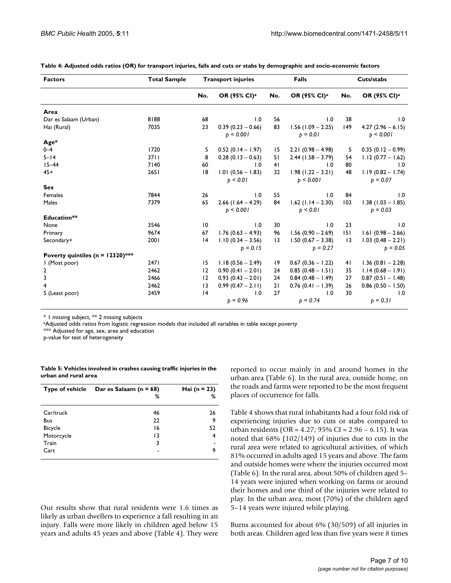| <b>Factors</b>                       | <b>Total Sample</b> |                 | <b>Transport injuries</b>           |                 | Falls                                |                 | Cuts/stabs                        |  |
|--------------------------------------|---------------------|-----------------|-------------------------------------|-----------------|--------------------------------------|-----------------|-----------------------------------|--|
|                                      |                     | No.             | OR (95% CI) <sup>a</sup>            | No.             | OR (95% CI) <sup>a</sup>             | No.             | OR (95% CI) <sup>a</sup>          |  |
| Area                                 |                     |                 |                                     |                 |                                      |                 |                                   |  |
| Dar es Salaam (Urban)                | 8188                | 68              | 1.0                                 | 56              | 1.0                                  | 38              | 1.0                               |  |
| Hai (Rural)                          | 7035                | 23              | $0.39(0.23 - 0.66)$<br>b < 0.001    | 83              | $1.56$ (1.09 - 2.25)<br>$b = 0.01$   | 149             | $4.27(2.96 - 6.15)$<br>b < 0.001  |  |
| Age*                                 |                     |                 |                                     |                 |                                      |                 |                                   |  |
| $0 - 4$                              | 1720                | 5               | $0.52(0.14 - 1.97)$                 | 15              | $2.21(0.98 - 4.98)$                  | 5               | $0.35(0.12 - 0.99)$               |  |
| $5 - 14$                             | 3711                | 8               | $0.28(0.13 - 0.63)$                 | 51              | $2.44$ (1.58 – 3.79)                 | 54              | $1.12(0.77 - 1.62)$               |  |
| $15 - 44$                            | 7140                | 60              | 1.0                                 | 41              | 1.0                                  | 80              | 1.0                               |  |
| $45+$                                | 2651                | 8               | $1.01(0.56 - 1.83)$<br>$b \le 0.01$ | 32              | $1.98(1.22 - 3.21)$<br>b < 0.001     | 48              | $1.19(0.82 - 1.74)$<br>$b = 0.07$ |  |
| <b>Sex</b>                           |                     |                 |                                     |                 |                                      |                 |                                   |  |
| Females                              | 7844                | 26              | 1.0                                 | 55              | 1.0                                  | 84              | 1.0                               |  |
| Males                                | 7379                | 65              | $2.66$ (1.64 - 4.29)<br>b < 0.001   | 84              | $1.62$ (1.14 - 2.30)<br>$b \le 0.01$ | 103             | $1.38(1.03 - 1.85)$<br>$b = 0.03$ |  |
| Education**                          |                     |                 |                                     |                 |                                      |                 |                                   |  |
| None                                 | 3546                | $\overline{10}$ | 1.0                                 | 30              | 1.0                                  | 23              | 1.0                               |  |
| Primary                              | 9674                | 67              | $1.76$ (0.63 - 4.93)                | 96              | $1.56(0.90 - 2.69)$                  | 151             | $1.61(0.98 - 2.66)$               |  |
| Secondary+                           | 2001                | 4               | $1.10(0.34 - 3.56)$                 | $\overline{13}$ | $1.50(0.67 - 3.38)$                  | $\overline{13}$ | $1.03(0.48 - 2.21)$               |  |
|                                      |                     |                 | $p = 0.15$                          |                 | $b = 0.27$                           |                 | $b = 0.05$                        |  |
| Poverty quintiles ( $n = 12320$ )*** |                     |                 |                                     |                 |                                      |                 |                                   |  |
| I (Most poor)                        | 2471                | 15              | $1.18(0.56 - 2.49)$                 | 19              | $0.67(0.36 - 1.22)$                  | 41              | $1.36(0.81 - 2.28)$               |  |
| 2                                    | 2462                | 12              | $0.90(0.41 - 2.01)$                 | 24              | $0.85(0.48 - 1.51)$                  | 35              | $1.14(0.68 - 1.91)$               |  |
| 3                                    | 2466                | 12              | $0.93(0.43 - 2.01)$                 | 24              | $0.84(0.48 - 1.49)$                  | 27              | $0.87(0.51 - 1.48)$               |  |
| 4                                    | 2462                | $\overline{13}$ | $0.99(0.47 - 2.11)$                 | 21              | $0.76$ (0.41 - 1.39)                 | 26              | $0.86$ (0.50 - 1.50)              |  |
| 5 (Least poor)                       | 2459                | 4               | 1.0<br>$p = 0.96$                   | 27              | 1.0<br>$p = 0.74$                    | 30              | 1.0<br>$p = 0.31$                 |  |

<span id="page-6-0"></span>**Table 4: Adjusted odds ratios (OR) for transport injuries, falls and cuts or stabs by demographic and socio-economic factors**

\* 1 missing subject, \*\* 2 missing subjects

aAdjusted odds ratios from logistic regression models that included all variables in table except poverty

\*\*\* Adjusted for age, sex, area and education

p-value for test of heterogeneity

<span id="page-6-1"></span>

| Table 5: Vehicles involved in crashes causing traffic injuries in the |  |
|-----------------------------------------------------------------------|--|
| urban and rural area                                                  |  |

|                | Type of vehicle Dar es Salaam $(n = 68)$<br>% | <b>Hai</b> ( $n = 23$ )<br>% |
|----------------|-----------------------------------------------|------------------------------|
| Car/truck      | 46                                            | 26                           |
| <b>Bus</b>     | 22                                            | 9                            |
| <b>Bicycle</b> | 16                                            | 52                           |
| Motorcycle     | $\overline{13}$                               | 4                            |
| Train          | 3                                             |                              |
| Cart           |                                               | ۹                            |

Our results show that rural residents were 1.6 times as likely as urban dwellers to experience a fall resulting in an injury. Falls were more likely in children aged below 15 years and adults 45 years and above (Table [4](#page-6-0)). They were reported to occur mainly in and around homes in the urban area (Table [6](#page-7-0)). In the rural area, outside home, on the roads and farms were reported to be the most frequent places of occurrence for falls.

Table [4](#page-6-0) shows that rural inhabitants had a four fold risk of experiencing injuries due to cuts or stabs compared to urban residents (OR = 4.27; 95% CI = 2.96 – 6.15). It was noted that 68% (102/149) of injuries due to cuts in the rural area were related to agricultural activities, of which 81% occurred in adults aged 15 years and above. The farm and outside homes were where the injuries occurred most (Table [6](#page-7-0)). In the rural area, about 50% of children aged 5– 14 years were injured when working on farms or around their homes and one third of the injuries were related to play. In the urban area, most (70%) of the children aged 5–14 years were injured while playing.

Burns accounted for about 6% (30/509) of all injuries in both areas. Children aged less than five years were 8 times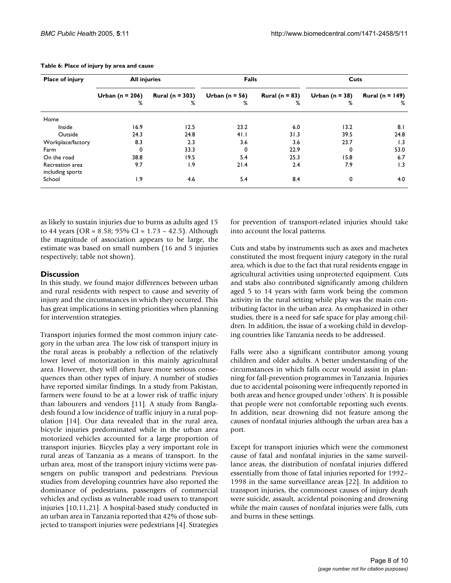| Place of injury                     | <b>All injuries</b>      |                             | <b>Falls</b>            |                         | Cuts                    |                                 |  |
|-------------------------------------|--------------------------|-----------------------------|-------------------------|-------------------------|-------------------------|---------------------------------|--|
|                                     | Urban ( $n = 206$ )<br>℅ | <b>Rural (n = 303)</b><br>% | Urban ( $n = 56$ )<br>% | Rural ( $n = 83$ )<br>% | Urban ( $n = 38$ )<br>% | <b>Rural</b> ( $n = 149$ )<br>℅ |  |
| Home                                |                          |                             |                         |                         |                         |                                 |  |
| Inside                              | 16.9                     | 12.5                        | 23.2                    | 6.0                     | 13.2                    | 8.1                             |  |
| Outside                             | 24.3                     | 24.8                        | 41.1                    | 31.3                    | 39.5                    | 24.8                            |  |
| Workplace/factory                   | 8.3                      | 2.3                         | 3.6                     | 3.6                     | 23.7                    | 1.3                             |  |
| Farm                                | 0                        | 33.3                        | 0                       | 22.9                    | 0                       | 53.0                            |  |
| On the road                         | 38.8                     | 19.5                        | 5.4                     | 25.3                    | 15.8                    | 6.7                             |  |
| Recreation area<br>including sports | 9.7                      | 1.9                         | 21.4                    | 2.4                     | 7.9                     | 1.3                             |  |
| School                              | و. ا                     | 4.6                         | 5.4                     | 8.4                     | 0                       | 4.0                             |  |

<span id="page-7-0"></span>**Table 6: Place of injury by area and cause**

as likely to sustain injuries due to burns as adults aged 15 to 44 years (OR = 8.58; 95% CI =  $1.73 - 42.5$ ). Although the magnitude of association appears to be large, the estimate was based on small numbers (16 and 5 injuries respectively; table not shown).

#### **Discussion**

In this study, we found major differences between urban and rural residents with respect to cause and severity of injury and the circumstances in which they occurred. This has great implications in setting priorities when planning for intervention strategies.

Transport injuries formed the most common injury category in the urban area. The low risk of transport injury in the rural areas is probably a reflection of the relatively lower level of motorization in this mainly agricultural area. However, they will often have more serious consequences than other types of injury. A number of studies have reported similar findings. In a study from Pakistan, farmers were found to be at a lower risk of traffic injury than labourers and vendors [11]. A study from Bangladesh found a low incidence of traffic injury in a rural population [14]. Our data revealed that in the rural area, bicycle injuries predominated while in the urban area motorized vehicles accounted for a large proportion of transport injuries. Bicycles play a very important role in rural areas of Tanzania as a means of transport. In the urban area, most of the transport injury victims were passengers on public transport and pedestrians. Previous studies from developing countries have also reported the dominance of pedestrians, passengers of commercial vehicles and cyclists as vulnerable road users to transport injuries [10,11,21]. A hospital-based study conducted in an urban area in Tanzania reported that 42% of those subjected to transport injuries were pedestrians [4]. Strategies for prevention of transport-related injuries should take into account the local patterns.

Cuts and stabs by instruments such as axes and machetes constituted the most frequent injury category in the rural area, which is due to the fact that rural residents engage in agricultural activities using unprotected equipment. Cuts and stabs also contributed significantly among children aged 5 to 14 years with farm work being the common activity in the rural setting while play was the main contributing factor in the urban area. As emphasized in other studies, there is a need for safe space for play among children. In addition, the issue of a working child in developing countries like Tanzania needs to be addressed.

Falls were also a significant contributor among young children and older adults. A better understanding of the circumstances in which falls occur would assist in planning for fall-prevention programmes in Tanzania. Injuries due to accidental poisoning were infrequently reported in both areas and hence grouped under 'others'. It is possible that people were not comfortable reporting such events. In addition, near drowning did not feature among the causes of nonfatal injuries although the urban area has a port.

Except for transport injuries which were the commonest cause of fatal and nonfatal injuries in the same surveillance areas, the distribution of nonfatal injuries differed essentially from those of fatal injuries reported for 1992– 1998 in the same surveillance areas [22]. In addition to transport injuries, the commonest causes of injury death were suicide, assault, accidental poisoning and drowning while the main causes of nonfatal injuries were falls, cuts and burns in these settings.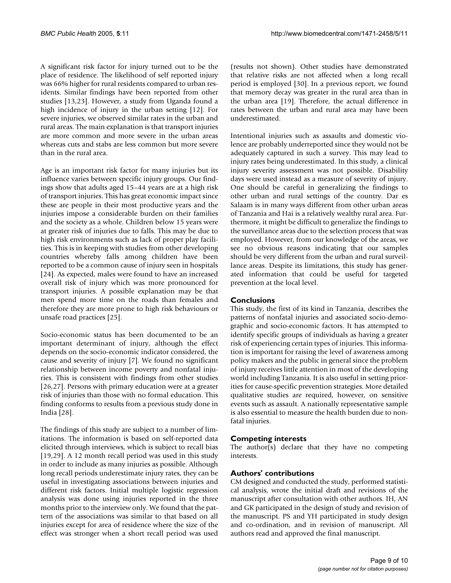A significant risk factor for injury turned out to be the place of residence. The likelihood of self reported injury was 66% higher for rural residents compared to urban residents. Similar findings have been reported from other studies [13,23]. However, a study from Uganda found a high incidence of injury in the urban setting [12]. For severe injuries, we observed similar rates in the urban and rural areas. The main explanation is that transport injuries are more common and more severe in the urban areas whereas cuts and stabs are less common but more severe than in the rural area.

Age is an important risk factor for many injuries but its influence varies between specific injury groups. Our findings show that adults aged 15–44 years are at a high risk of transport injuries. This has great economic impact since these are people in their most productive years and the injuries impose a considerable burden on their families and the society as a whole. Children below 15 years were at greater risk of injuries due to falls. This may be due to high risk environments such as lack of proper play facilities. This is in keeping with studies from other developing countries whereby falls among children have been reported to be a common cause of injury seen in hospitals [24]. As expected, males were found to have an increased overall risk of injury which was more pronounced for transport injuries. A possible explanation may be that men spend more time on the roads than females and therefore they are more prone to high risk behaviours or unsafe road practices [25].

Socio-economic status has been documented to be an important determinant of injury, although the effect depends on the socio-economic indicator considered, the cause and severity of injury [7]. We found no significant relationship between income poverty and nonfatal injuries. This is consistent with findings from other studies [26,27]. Persons with primary education were at a greater risk of injuries than those with no formal education. This finding conforms to results from a previous study done in India [28].

The findings of this study are subject to a number of limitations. The information is based on self-reported data elicited through interviews, which is subject to recall bias [19,29]. A 12 month recall period was used in this study in order to include as many injuries as possible. Although long recall periods underestimate injury rates, they can be useful in investigating associations between injuries and different risk factors. Initial multiple logistic regression analysis was done using injuries reported in the three months prior to the interview only. We found that the pattern of the associations was similar to that based on all injuries except for area of residence where the size of the effect was stronger when a short recall period was used

(results not shown). Other studies have demonstrated that relative risks are not affected when a long recall period is employed [30]. In a previous report, we found that memory decay was greater in the rural area than in the urban area [19]. Therefore, the actual difference in rates between the urban and rural area may have been underestimated.

Intentional injuries such as assaults and domestic violence are probably underreported since they would not be adequately captured in such a survey. This may lead to injury rates being underestimated. In this study, a clinical injury severity assessment was not possible. Disability days were used instead as a measure of severity of injury. One should be careful in generalizing the findings to other urban and rural settings of the country. Dar es Salaam is in many ways different from other urban areas of Tanzania and Hai is a relatively wealthy rural area. Furthermore, it might be difficult to generalize the findings to the surveillance areas due to the selection process that was employed. However, from our knowledge of the areas, we see no obvious reasons indicating that our samples should be very different from the urban and rural surveillance areas. Despite its limitations, this study has generated information that could be useful for targeted prevention at the local level.

#### **Conclusions**

This study, the first of its kind in Tanzania, describes the patterns of nonfatal injuries and associated socio-demographic and socio-economic factors. It has attempted to identify specific groups of individuals as having a greater risk of experiencing certain types of injuries. This information is important for raising the level of awareness among policy makers and the public in general since the problem of injury receives little attention in most of the developing world including Tanzania. It is also useful in setting priorities for cause-specific prevention strategies. More detailed qualitative studies are required, however, on sensitive events such as assault. A nationally representative sample is also essential to measure the health burden due to nonfatal injuries.

# **Competing interests**

The author(s) declare that they have no competing interests.

# **Authors' contributions**

CM designed and conducted the study, performed statistical analysis, wrote the initial draft and revisions of the manuscript after consultation with other authors. IH, AN and GK participated in the design of study and revision of the manuscript. PS and YH participated in study design and co-ordination, and in revision of manuscript. All authors read and approved the final manuscript.